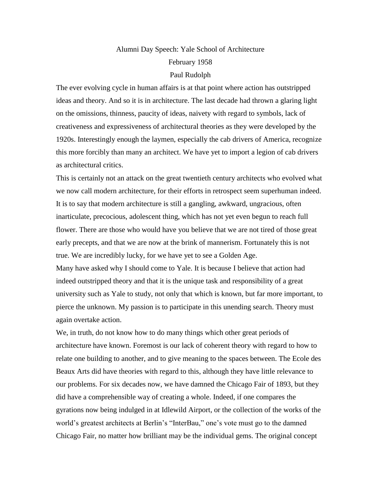## Alumni Day Speech: Yale School of Architecture February 1958 Paul Rudolph

The ever evolving cycle in human affairs is at that point where action has outstripped ideas and theory. And so it is in architecture. The last decade had thrown a glaring light on the omissions, thinness, paucity of ideas, naivety with regard to symbols, lack of creativeness and expressiveness of architectural theories as they were developed by the 1920s. Interestingly enough the laymen, especially the cab drivers of America, recognize this more forcibly than many an architect. We have yet to import a legion of cab drivers as architectural critics.

This is certainly not an attack on the great twentieth century architects who evolved what we now call modern architecture, for their efforts in retrospect seem superhuman indeed. It is to say that modern architecture is still a gangling, awkward, ungracious, often inarticulate, precocious, adolescent thing, which has not yet even begun to reach full flower. There are those who would have you believe that we are not tired of those great early precepts, and that we are now at the brink of mannerism. Fortunately this is not true. We are incredibly lucky, for we have yet to see a Golden Age.

Many have asked why I should come to Yale. It is because I believe that action had indeed outstripped theory and that it is the unique task and responsibility of a great university such as Yale to study, not only that which is known, but far more important, to pierce the unknown. My passion is to participate in this unending search. Theory must again overtake action.

We, in truth, do not know how to do many things which other great periods of architecture have known. Foremost is our lack of coherent theory with regard to how to relate one building to another, and to give meaning to the spaces between. The Ecole des Beaux Arts did have theories with regard to this, although they have little relevance to our problems. For six decades now, we have damned the Chicago Fair of 1893, but they did have a comprehensible way of creating a whole. Indeed, if one compares the gyrations now being indulged in at Idlewild Airport, or the collection of the works of the world's greatest architects at Berlin's "InterBau," one's vote must go to the damned Chicago Fair, no matter how brilliant may be the individual gems. The original concept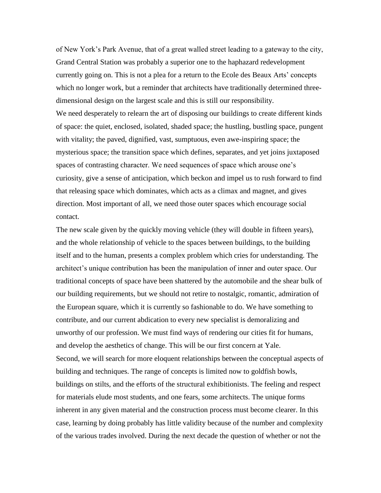of New York's Park Avenue, that of a great walled street leading to a gateway to the city, Grand Central Station was probably a superior one to the haphazard redevelopment currently going on. This is not a plea for a return to the Ecole des Beaux Arts' concepts which no longer work, but a reminder that architects have traditionally determined threedimensional design on the largest scale and this is still our responsibility. We need desperately to relearn the art of disposing our buildings to create different kinds of space: the quiet, enclosed, isolated, shaded space; the hustling, bustling space, pungent with vitality; the paved, dignified, vast, sumptuous, even awe-inspiring space; the mysterious space; the transition space which defines, separates, and yet joins juxtaposed spaces of contrasting character. We need sequences of space which arouse one's curiosity, give a sense of anticipation, which beckon and impel us to rush forward to find that releasing space which dominates, which acts as a climax and magnet, and gives direction. Most important of all, we need those outer spaces which encourage social contact.

The new scale given by the quickly moving vehicle (they will double in fifteen years), and the whole relationship of vehicle to the spaces between buildings, to the building itself and to the human, presents a complex problem which cries for understanding. The architect's unique contribution has been the manipulation of inner and outer space. Our traditional concepts of space have been shattered by the automobile and the shear bulk of our building requirements, but we should not retire to nostalgic, romantic, admiration of the European square, which it is currently so fashionable to do. We have something to contribute, and our current abdication to every new specialist is demoralizing and unworthy of our profession. We must find ways of rendering our cities fit for humans, and develop the aesthetics of change. This will be our first concern at Yale. Second, we will search for more eloquent relationships between the conceptual aspects of building and techniques. The range of concepts is limited now to goldfish bowls, buildings on stilts, and the efforts of the structural exhibitionists. The feeling and respect for materials elude most students, and one fears, some architects. The unique forms inherent in any given material and the construction process must become clearer. In this case, learning by doing probably has little validity because of the number and complexity of the various trades involved. During the next decade the question of whether or not the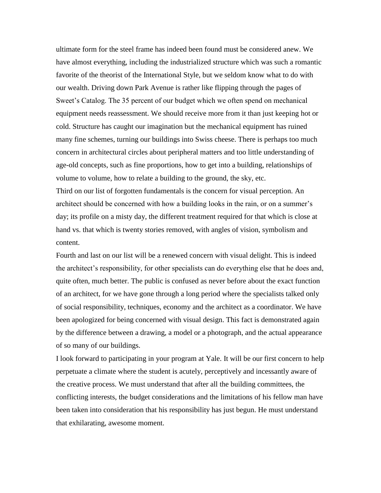ultimate form for the steel frame has indeed been found must be considered anew. We have almost everything, including the industrialized structure which was such a romantic favorite of the theorist of the International Style, but we seldom know what to do with our wealth. Driving down Park Avenue is rather like flipping through the pages of Sweet's Catalog. The 35 percent of our budget which we often spend on mechanical equipment needs reassessment. We should receive more from it than just keeping hot or cold. Structure has caught our imagination but the mechanical equipment has ruined many fine schemes, turning our buildings into Swiss cheese. There is perhaps too much concern in architectural circles about peripheral matters and too little understanding of age-old concepts, such as fine proportions, how to get into a building, relationships of volume to volume, how to relate a building to the ground, the sky, etc.

Third on our list of forgotten fundamentals is the concern for visual perception. An architect should be concerned with how a building looks in the rain, or on a summer's day; its profile on a misty day, the different treatment required for that which is close at hand vs. that which is twenty stories removed, with angles of vision, symbolism and content.

Fourth and last on our list will be a renewed concern with visual delight. This is indeed the architect's responsibility, for other specialists can do everything else that he does and, quite often, much better. The public is confused as never before about the exact function of an architect, for we have gone through a long period where the specialists talked only of social responsibility, techniques, economy and the architect as a coordinator. We have been apologized for being concerned with visual design. This fact is demonstrated again by the difference between a drawing, a model or a photograph, and the actual appearance of so many of our buildings.

I look forward to participating in your program at Yale. It will be our first concern to help perpetuate a climate where the student is acutely, perceptively and incessantly aware of the creative process. We must understand that after all the building committees, the conflicting interests, the budget considerations and the limitations of his fellow man have been taken into consideration that his responsibility has just begun. He must understand that exhilarating, awesome moment.